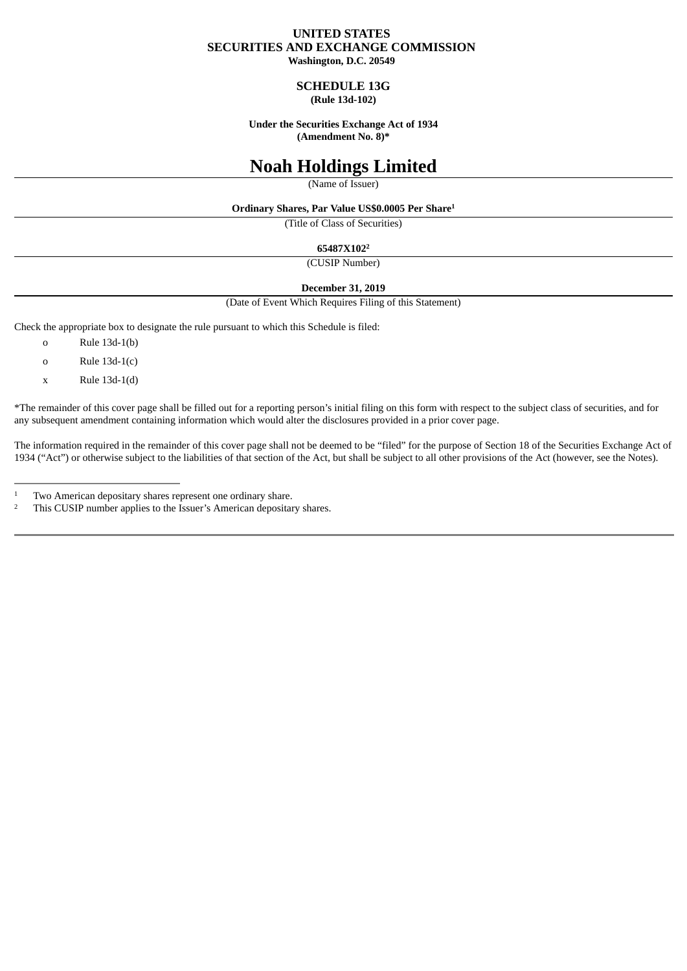## **UNITED STATES SECURITIES AND EXCHANGE COMMISSION**

**Washington, D.C. 20549**

#### **SCHEDULE 13G (Rule 13d-102)**

**Under the Securities Exchange Act of 1934 (Amendment No. 8)\***

# **Noah Holdings Limited**

(Name of Issuer)

**Ordinary Shares, Par Value US\$0.0005 Per Share 1**

(Title of Class of Securities)

**65487X102 2**

(CUSIP Number)

#### **December 31, 2019**

(Date of Event Which Requires Filing of this Statement)

Check the appropriate box to designate the rule pursuant to which this Schedule is filed:

- o Rule 13d-1(b)
- o Rule 13d-1(c)
- x Rule 13d-1(d)

\*The remainder of this cover page shall be filled out for a reporting person's initial filing on this form with respect to the subject class of securities, and for any subsequent amendment containing information which would alter the disclosures provided in a prior cover page.

The information required in the remainder of this cover page shall not be deemed to be "filed" for the purpose of Section 18 of the Securities Exchange Act of 1934 ("Act") or otherwise subject to the liabilities of that section of the Act, but shall be subject to all other provisions of the Act (however, see the Notes).

This CUSIP number applies to the Issuer's American depositary shares. 2

Two American depositary shares represent one ordinary share. 1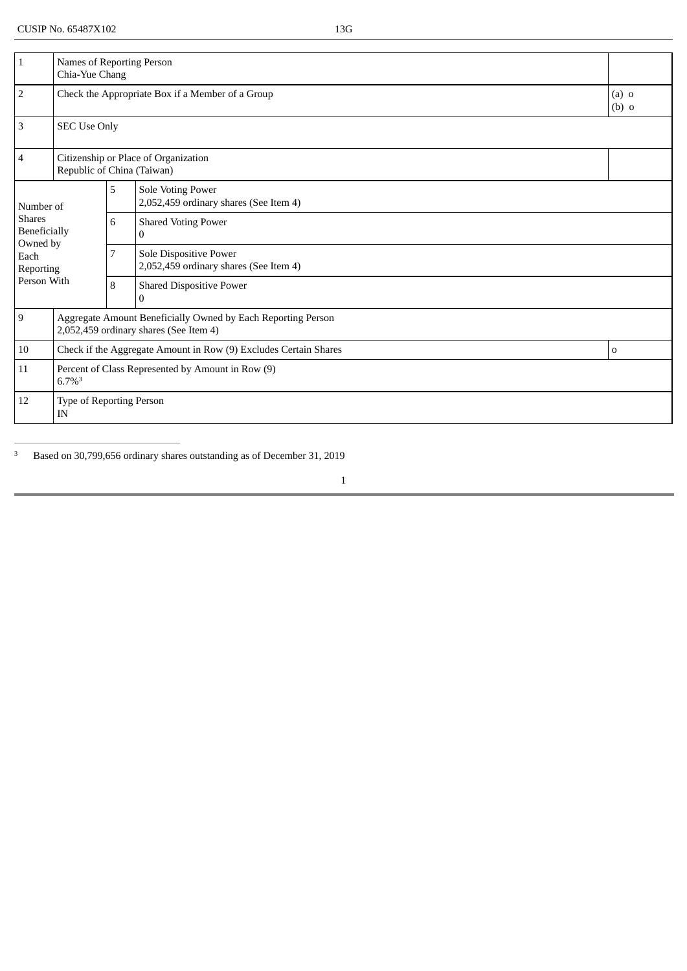| $\mathbf 1$                                                                 | Names of Reporting Person<br>Chia-Yue Chang                                                            |                                             |                                                                    |                    |  |  |
|-----------------------------------------------------------------------------|--------------------------------------------------------------------------------------------------------|---------------------------------------------|--------------------------------------------------------------------|--------------------|--|--|
| $\overline{2}$                                                              |                                                                                                        |                                             | Check the Appropriate Box if a Member of a Group                   | $(a)$ o<br>$(b)$ o |  |  |
| $\mathbf{3}$                                                                | <b>SEC Use Only</b>                                                                                    |                                             |                                                                    |                    |  |  |
| $\overline{4}$                                                              | Citizenship or Place of Organization<br>Republic of China (Taiwan)                                     |                                             |                                                                    |                    |  |  |
| Number of<br><b>Shares</b><br>Beneficially<br>Owned by<br>Each<br>Reporting |                                                                                                        | 5                                           | <b>Sole Voting Power</b><br>2,052,459 ordinary shares (See Item 4) |                    |  |  |
|                                                                             |                                                                                                        | 6<br><b>Shared Voting Power</b><br>$\Omega$ |                                                                    |                    |  |  |
|                                                                             |                                                                                                        | 7                                           | Sole Dispositive Power<br>2,052,459 ordinary shares (See Item 4)   |                    |  |  |
| Person With                                                                 |                                                                                                        | 8                                           | <b>Shared Dispositive Power</b><br>$\Omega$                        |                    |  |  |
| 9                                                                           | Aggregate Amount Beneficially Owned by Each Reporting Person<br>2,052,459 ordinary shares (See Item 4) |                                             |                                                                    |                    |  |  |
| 10                                                                          | Check if the Aggregate Amount in Row (9) Excludes Certain Shares                                       |                                             |                                                                    | $\Omega$           |  |  |
| 11                                                                          | Percent of Class Represented by Amount in Row (9)<br>$6.7\%$ <sup>3</sup>                              |                                             |                                                                    |                    |  |  |
| 12                                                                          | Type of Reporting Person<br>IN                                                                         |                                             |                                                                    |                    |  |  |

Based on 30,799,656 ordinary shares outstanding as of December 31, 2019 3

1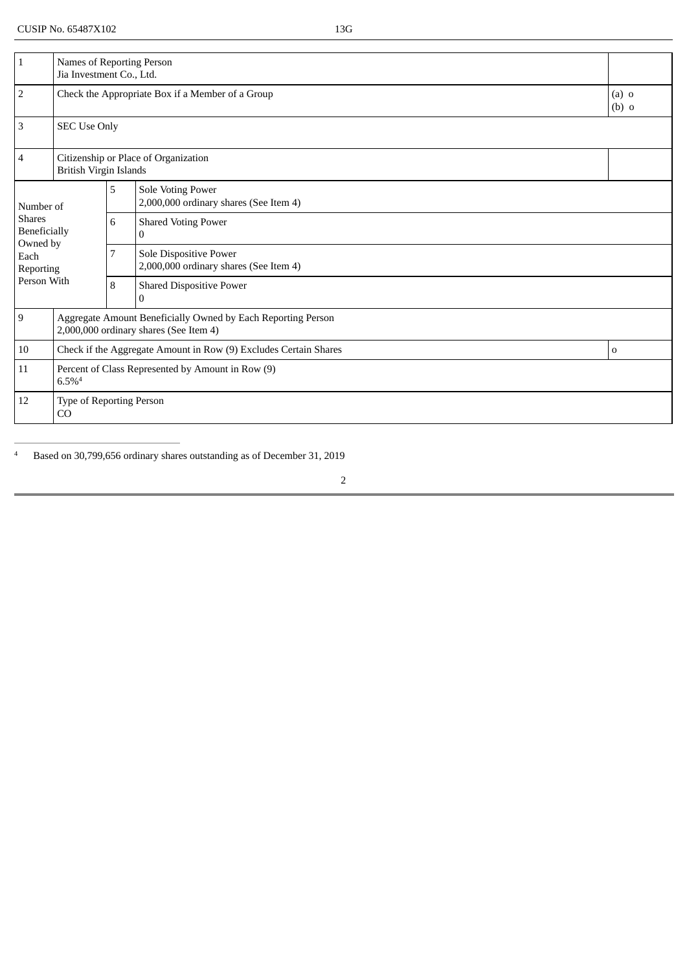| $\mathbf 1$                                                                 | Names of Reporting Person<br>Jia Investment Co., Ltd.                                                  |                                                 |                                                                        |             |  |  |
|-----------------------------------------------------------------------------|--------------------------------------------------------------------------------------------------------|-------------------------------------------------|------------------------------------------------------------------------|-------------|--|--|
| $\overline{2}$                                                              |                                                                                                        |                                                 | Check the Appropriate Box if a Member of a Group<br>$(a)$ o<br>$(b)$ o |             |  |  |
| $\mathbf{3}$                                                                | <b>SEC Use Only</b>                                                                                    |                                                 |                                                                        |             |  |  |
| $\overline{4}$                                                              | Citizenship or Place of Organization<br><b>British Virgin Islands</b>                                  |                                                 |                                                                        |             |  |  |
| Number of<br><b>Shares</b><br>Beneficially<br>Owned by<br>Each<br>Reporting |                                                                                                        | 5                                               | <b>Sole Voting Power</b><br>2,000,000 ordinary shares (See Item 4)     |             |  |  |
|                                                                             |                                                                                                        | 6<br><b>Shared Voting Power</b><br>$\mathbf{0}$ |                                                                        |             |  |  |
|                                                                             |                                                                                                        | 7                                               | Sole Dispositive Power<br>2,000,000 ordinary shares (See Item 4)       |             |  |  |
| Person With                                                                 |                                                                                                        | 8                                               | <b>Shared Dispositive Power</b><br>$\Omega$                            |             |  |  |
| 9                                                                           | Aggregate Amount Beneficially Owned by Each Reporting Person<br>2,000,000 ordinary shares (See Item 4) |                                                 |                                                                        |             |  |  |
| 10                                                                          | Check if the Aggregate Amount in Row (9) Excludes Certain Shares                                       |                                                 |                                                                        | $\mathbf 0$ |  |  |
| 11                                                                          | Percent of Class Represented by Amount in Row (9)<br>$6.5\%$ <sup>4</sup>                              |                                                 |                                                                        |             |  |  |
| 12                                                                          | Type of Reporting Person<br><sub>CO</sub>                                                              |                                                 |                                                                        |             |  |  |

Based on 30,799,656 ordinary shares outstanding as of December 31, 2019 4

2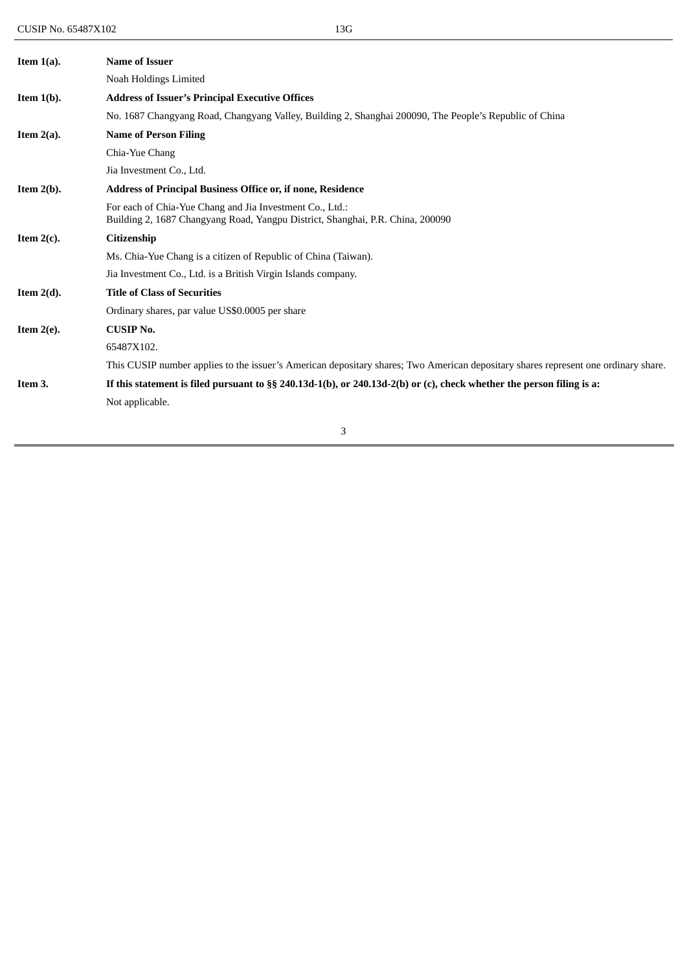| Item $1(a)$ . | <b>Name of Issuer</b>                                                                                                                      |
|---------------|--------------------------------------------------------------------------------------------------------------------------------------------|
|               | Noah Holdings Limited                                                                                                                      |
| Item $1(b)$ . | <b>Address of Issuer's Principal Executive Offices</b>                                                                                     |
|               | No. 1687 Changyang Road, Changyang Valley, Building 2, Shanghai 200090, The People's Republic of China                                     |
| Item $2(a)$ . | <b>Name of Person Filing</b>                                                                                                               |
|               | Chia-Yue Chang                                                                                                                             |
|               | Jia Investment Co., Ltd.                                                                                                                   |
| Item $2(b)$ . | Address of Principal Business Office or, if none, Residence                                                                                |
|               | For each of Chia-Yue Chang and Jia Investment Co., Ltd.:<br>Building 2, 1687 Changyang Road, Yangpu District, Shanghai, P.R. China, 200090 |
| Item $2(c)$ . | <b>Citizenship</b>                                                                                                                         |
|               | Ms. Chia-Yue Chang is a citizen of Republic of China (Taiwan).                                                                             |
|               | Jia Investment Co., Ltd. is a British Virgin Islands company.                                                                              |
| Item $2(d)$ . | <b>Title of Class of Securities</b>                                                                                                        |
|               | Ordinary shares, par value US\$0.0005 per share                                                                                            |
| Item $2(e)$ . | <b>CUSIP No.</b>                                                                                                                           |
|               | 65487X102.                                                                                                                                 |
|               | This CUSIP number applies to the issuer's American depositary shares; Two American depositary shares represent one ordinary share.         |
| Item 3.       | If this statement is filed pursuant to §§ 240.13d-1(b), or 240.13d-2(b) or (c), check whether the person filing is a:                      |
|               | Not applicable.                                                                                                                            |
|               |                                                                                                                                            |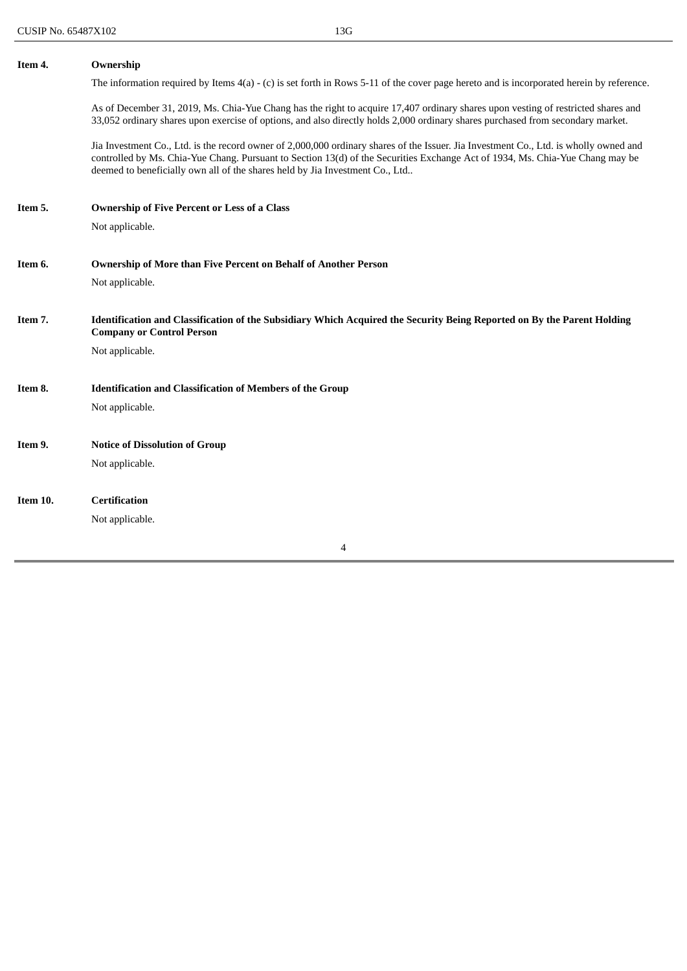| Item 4.  | Ownership                                                                                                                                                                                                                                                                                                                                              |  |  |  |  |
|----------|--------------------------------------------------------------------------------------------------------------------------------------------------------------------------------------------------------------------------------------------------------------------------------------------------------------------------------------------------------|--|--|--|--|
|          | The information required by Items $4(a)$ - (c) is set forth in Rows 5-11 of the cover page hereto and is incorporated herein by reference.                                                                                                                                                                                                             |  |  |  |  |
|          | As of December 31, 2019, Ms. Chia-Yue Chang has the right to acquire 17,407 ordinary shares upon vesting of restricted shares and<br>33,052 ordinary shares upon exercise of options, and also directly holds 2,000 ordinary shares purchased from secondary market.                                                                                   |  |  |  |  |
|          | Jia Investment Co., Ltd. is the record owner of 2,000,000 ordinary shares of the Issuer. Jia Investment Co., Ltd. is wholly owned and<br>controlled by Ms. Chia-Yue Chang. Pursuant to Section 13(d) of the Securities Exchange Act of 1934, Ms. Chia-Yue Chang may be<br>deemed to beneficially own all of the shares held by Jia Investment Co., Ltd |  |  |  |  |
| Item 5.  | <b>Ownership of Five Percent or Less of a Class</b>                                                                                                                                                                                                                                                                                                    |  |  |  |  |
|          | Not applicable.                                                                                                                                                                                                                                                                                                                                        |  |  |  |  |
| Item 6.  | <b>Ownership of More than Five Percent on Behalf of Another Person</b>                                                                                                                                                                                                                                                                                 |  |  |  |  |
|          | Not applicable.                                                                                                                                                                                                                                                                                                                                        |  |  |  |  |
|          |                                                                                                                                                                                                                                                                                                                                                        |  |  |  |  |
| Item 7.  | Identification and Classification of the Subsidiary Which Acquired the Security Being Reported on By the Parent Holding<br><b>Company or Control Person</b>                                                                                                                                                                                            |  |  |  |  |
|          | Not applicable.                                                                                                                                                                                                                                                                                                                                        |  |  |  |  |
|          |                                                                                                                                                                                                                                                                                                                                                        |  |  |  |  |
| Item 8.  | <b>Identification and Classification of Members of the Group</b>                                                                                                                                                                                                                                                                                       |  |  |  |  |
|          | Not applicable.                                                                                                                                                                                                                                                                                                                                        |  |  |  |  |
| Item 9.  | <b>Notice of Dissolution of Group</b>                                                                                                                                                                                                                                                                                                                  |  |  |  |  |
|          | Not applicable.                                                                                                                                                                                                                                                                                                                                        |  |  |  |  |
|          |                                                                                                                                                                                                                                                                                                                                                        |  |  |  |  |
| Item 10. | <b>Certification</b>                                                                                                                                                                                                                                                                                                                                   |  |  |  |  |
|          | Not applicable.                                                                                                                                                                                                                                                                                                                                        |  |  |  |  |

4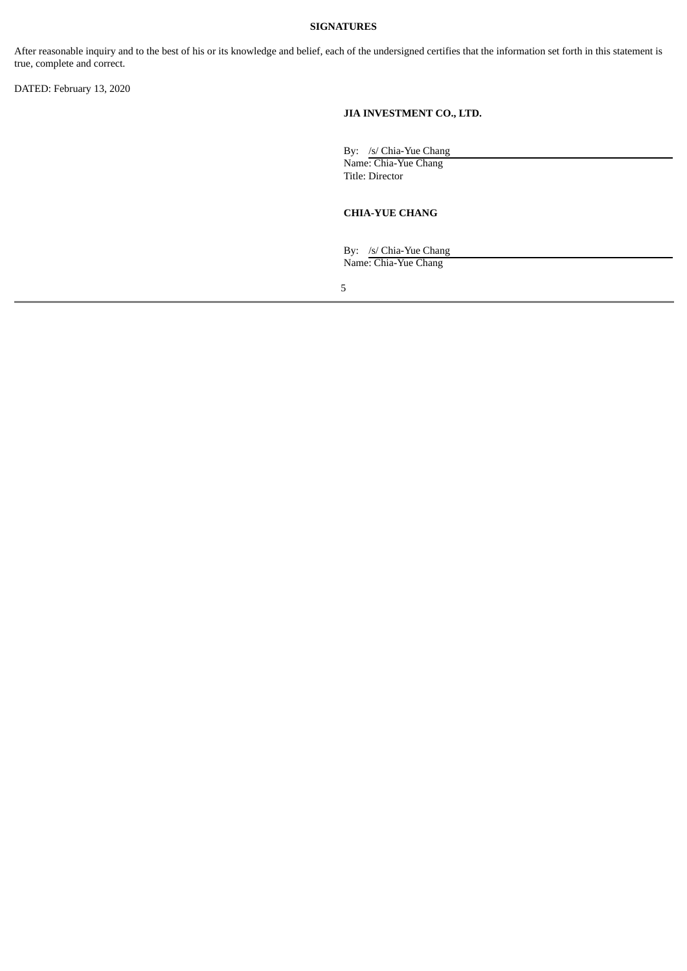#### **SIGNATURES**

After reasonable inquiry and to the best of his or its knowledge and belief, each of the undersigned certifies that the information set forth in this statement is true, complete and correct.

DATED: February 13, 2020

### **JIA INVESTMENT CO., LTD.**

By: /s/ Chia-Yue Chang

Name: Chia-Yue Chang Title: Director

#### **CHIA-YUE CHANG**

By: /s/ Chia-Yue Chang Name: Chia-Yue Chang